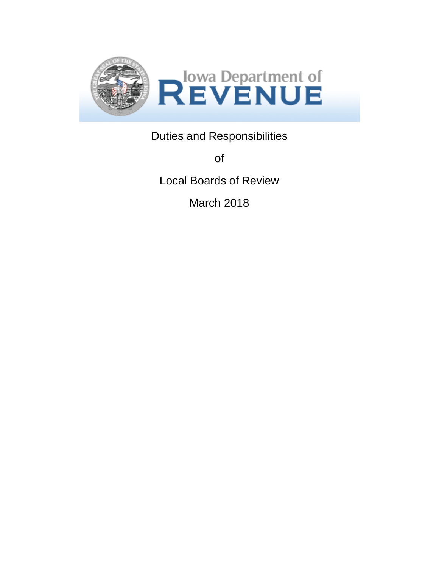

Duties and Responsibilities

of

Local Boards of Review

March 2018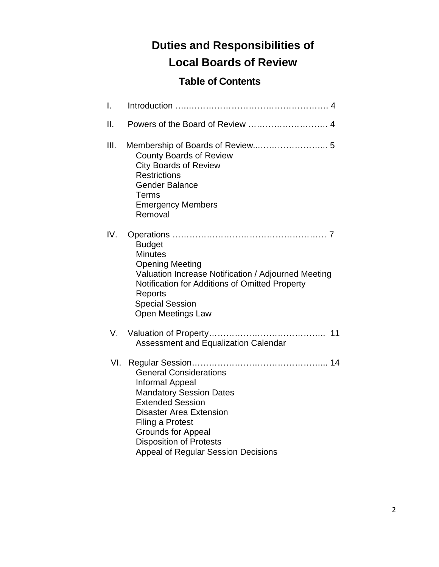# **Duties and Responsibilities of Local Boards of Review**

# **Table of Contents**

| I.   |                                                                                                                                                                                                                                                                                                |
|------|------------------------------------------------------------------------------------------------------------------------------------------------------------------------------------------------------------------------------------------------------------------------------------------------|
| II.  |                                                                                                                                                                                                                                                                                                |
| III. | <b>County Boards of Review</b><br><b>City Boards of Review</b><br><b>Restrictions</b><br><b>Gender Balance</b><br><b>Terms</b><br><b>Emergency Members</b><br>Removal                                                                                                                          |
| IV.  | <b>Budget</b><br><b>Minutes</b><br><b>Opening Meeting</b><br>Valuation Increase Notification / Adjourned Meeting<br>Notification for Additions of Omitted Property<br>Reports<br><b>Special Session</b><br><b>Open Meetings Law</b>                                                            |
| V.   | Assessment and Equalization Calendar                                                                                                                                                                                                                                                           |
| VI.  | <b>General Considerations</b><br><b>Informal Appeal</b><br><b>Mandatory Session Dates</b><br><b>Extended Session</b><br><b>Disaster Area Extension</b><br><b>Filing a Protest</b><br><b>Grounds for Appeal</b><br><b>Disposition of Protests</b><br><b>Appeal of Regular Session Decisions</b> |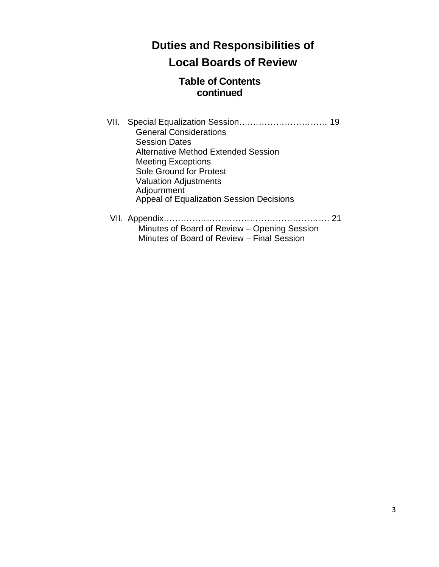# **Duties and Responsibilities of Local Boards of Review**

# **Table of Contents continued**

- VII. Special Equalization Session….……………………… 19 General Considerations Session Dates Alternative Method Extended Session Meeting Exceptions Sole Ground for Protest Valuation Adjustments Adjournment Appeal of Equalization Session Decisions VII. Appendix…………………………………………………. 21 Minutes of Board of Review – Opening Session
	- Minutes of Board of Review Final Session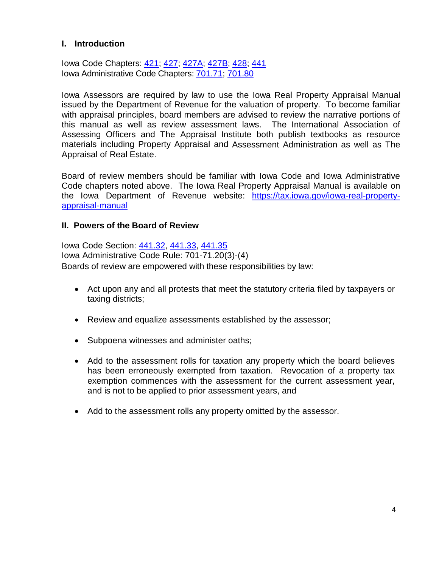# **I. Introduction**

Iowa Code Chapters: [421;](https://www.legis.iowa.gov/docs/ico/code/421.pdf) [427;](https://www.legis.iowa.gov/docs/ico/code/427.pdf) [427A;](https://www.legis.iowa.gov/docs/ico/code/427A.pdf) [427B;](hhttps://www.legis.iowa.gov/docs/ico/code/427B.pdf) [428;](https://www.legis.iowa.gov/docs/ico/code/428.pdf) [441](https://www.legis.iowa.gov/docs/ico/code/441.pdf) Iowa Administrative Code Chapters: [701.71;](https://www.legis.iowa.gov/docs/aco/chapter/701.71.pdf) [701.80](https://www.legis.iowa.gov/docs/aco/chapter/701.80.pdf)

Iowa Assessors are required by law to use the Iowa Real Property Appraisal Manual issued by the Department of Revenue for the valuation of property. To become familiar with appraisal principles, board members are advised to review the narrative portions of this manual as well as review assessment laws. The International Association of Assessing Officers and The Appraisal Institute both publish textbooks as resource materials including Property Appraisal and Assessment Administration as well as The Appraisal of Real Estate.

Board of review members should be familiar with Iowa Code and Iowa Administrative Code chapters noted above. The Iowa Real Property Appraisal Manual is available on the Iowa Department of Revenue website: [https://tax.iowa.gov/iowa-real-property](https://tax.iowa.gov/iowa-real-property-appraisal-manual)[appraisal-manual](https://tax.iowa.gov/iowa-real-property-appraisal-manual)

#### **II. Powers of the Board of Review**

Iowa Code Section: [441.32,](https://www.legis.iowa.gov/docs/ico/code/441.32.pdf) [441.33,](https://www.legis.iowa.gov/docs/ico/code/441.33.pdf) 441.35 Iowa Administrative Code Rule: 701-71.20(3)-(4) Boards of review are empowered with these responsibilities by law:

- Act upon any and all protests that meet the statutory criteria filed by taxpayers or taxing districts;
- Review and equalize assessments established by the assessor;
- Subpoena witnesses and administer oaths;
- Add to the assessment rolls for taxation any property which the board believes has been erroneously exempted from taxation. Revocation of a property tax exemption commences with the assessment for the current assessment year, and is not to be applied to prior assessment years, and
- Add to the assessment rolls any property omitted by the assessor.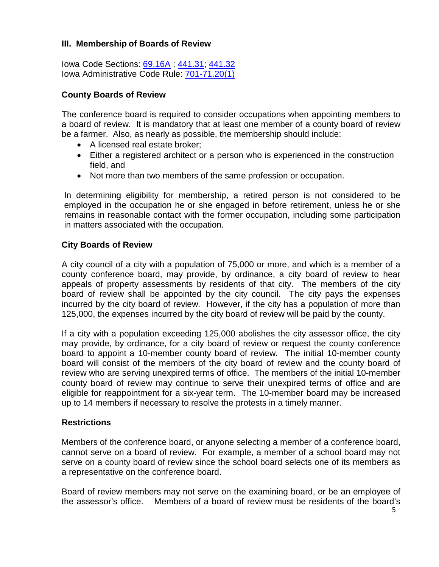# **III. Membership of Boards of Review**

Iowa Code Sections: 69.16A ; [441.31;](https://www.legis.iowa.gov/docs/ico/code/441.31.pdf) [441.32](https://www.legis.iowa.gov/docs/ico/code/441.32.pdf) Iowa Administrative Code Rule: 701-71.20(1)

# **County Boards of Review**

The conference board is required to consider occupations when appointing members to a board of review. It is mandatory that at least one member of a county board of review be a farmer. Also, as nearly as possible, the membership should include:

- A licensed real estate broker;
- Either a registered architect or a person who is experienced in the construction field, and
- Not more than two members of the same profession or occupation.

In determining eligibility for membership, a retired person is not considered to be employed in the occupation he or she engaged in before retirement, unless he or she remains in reasonable contact with the former occupation, including some participation in matters associated with the occupation.

# **City Boards of Review**

A city council of a city with a population of 75,000 or more, and which is a member of a county conference board, may provide, by ordinance, a city board of review to hear appeals of property assessments by residents of that city. The members of the city board of review shall be appointed by the city council. The city pays the expenses incurred by the city board of review. However, if the city has a population of more than 125,000, the expenses incurred by the city board of review will be paid by the county.

If a city with a population exceeding 125,000 abolishes the city assessor office, the city may provide, by ordinance, for a city board of review or request the county conference board to appoint a 10-member county board of review. The initial 10-member county board will consist of the members of the city board of review and the county board of review who are serving unexpired terms of office. The members of the initial 10-member county board of review may continue to serve their unexpired terms of office and are eligible for reappointment for a six-year term. The 10-member board may be increased up to 14 members if necessary to resolve the protests in a timely manner.

# **Restrictions**

Members of the conference board, or anyone selecting a member of a conference board, cannot serve on a board of review. For example, a member of a school board may not serve on a county board of review since the school board selects one of its members as a representative on the conference board.

Board of review members may not serve on the examining board, or be an employee of the assessor's office. Members of a board of review must be residents of the board's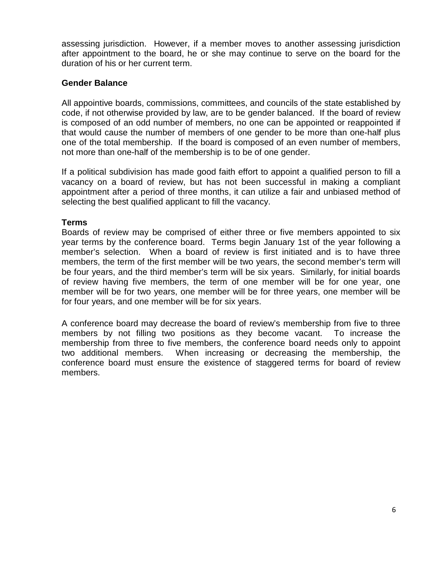assessing jurisdiction. However, if a member moves to another assessing jurisdiction after appointment to the board, he or she may continue to serve on the board for the duration of his or her current term.

# **Gender Balance**

All appointive boards, commissions, committees, and councils of the state established by code, if not otherwise provided by law, are to be gender balanced. If the board of review is composed of an odd number of members, no one can be appointed or reappointed if that would cause the number of members of one gender to be more than one-half plus one of the total membership. If the board is composed of an even number of members, not more than one-half of the membership is to be of one gender.

If a political subdivision has made good faith effort to appoint a qualified person to fill a vacancy on a board of review, but has not been successful in making a compliant appointment after a period of three months, it can utilize a fair and unbiased method of selecting the best qualified applicant to fill the vacancy.

# **Terms**

Boards of review may be comprised of either three or five members appointed to six year terms by the conference board. Terms begin January 1st of the year following a member's selection. When a board of review is first initiated and is to have three members, the term of the first member will be two years, the second member's term will be four years, and the third member's term will be six years. Similarly, for initial boards of review having five members, the term of one member will be for one year, one member will be for two years, one member will be for three years, one member will be for four years, and one member will be for six years.

A conference board may decrease the board of review's membership from five to three members by not filling two positions as they become vacant. To increase the membership from three to five members, the conference board needs only to appoint two additional members. When increasing or decreasing the membership, the conference board must ensure the existence of staggered terms for board of review members.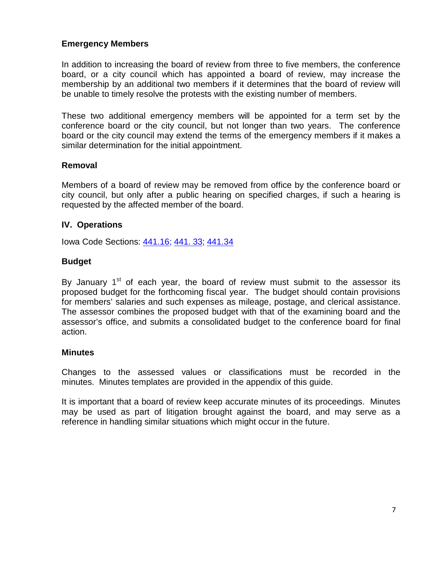# **Emergency Members**

In addition to increasing the board of review from three to five members, the conference board, or a city council which has appointed a board of review, may increase the membership by an additional two members if it determines that the board of review will be unable to timely resolve the protests with the existing number of members.

These two additional emergency members will be appointed for a term set by the conference board or the city council, but not longer than two years. The conference board or the city council may extend the terms of the emergency members if it makes a similar determination for the initial appointment.

# **Removal**

Members of a board of review may be removed from office by the conference board or city council, but only after a public hearing on specified charges, if such a hearing is requested by the affected member of the board.

# **IV. Operations**

Iowa Code Sections: [441.16;](https://www.legis.iowa.gov/docs/ico/code/441.16.pdf) 441. 33; [441.34](https://www.legis.iowa.gov/docs/ico/code/441.34.pdf)

# **Budget**

By January  $1<sup>st</sup>$  of each year, the board of review must submit to the assessor its proposed budget for the forthcoming fiscal year. The budget should contain provisions for members' salaries and such expenses as mileage, postage, and clerical assistance. The assessor combines the proposed budget with that of the examining board and the assessor's office, and submits a consolidated budget to the conference board for final action.

# **Minutes**

Changes to the assessed values or classifications must be recorded in the minutes. Minutes templates are provided in the appendix of this guide.

It is important that a board of review keep accurate minutes of its proceedings. Minutes may be used as part of litigation brought against the board, and may serve as a reference in handling similar situations which might occur in the future.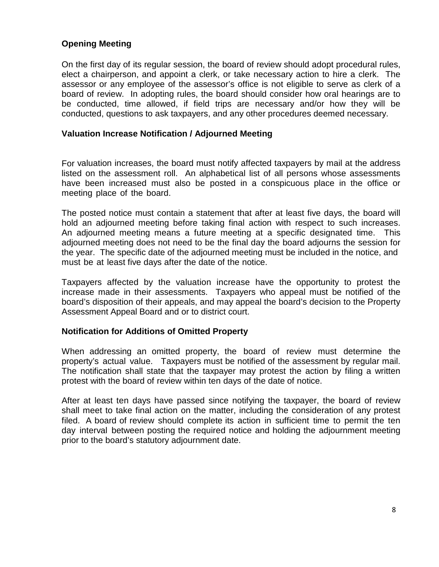# **Opening Meeting**

On the first day of its regular session, the board of review should adopt procedural rules, elect a chairperson, and appoint a clerk, or take necessary action to hire a clerk. The assessor or any employee of the assessor's office is not eligible to serve as clerk of a board of review. In adopting rules, the board should consider how oral hearings are to be conducted, time allowed, if field trips are necessary and/or how they will be conducted, questions to ask taxpayers, and any other procedures deemed necessary.

#### **Valuation Increase Notification / Adjourned Meeting**

For valuation increases, the board must notify affected taxpayers by mail at the address listed on the assessment roll. An alphabetical list of all persons whose assessments have been increased must also be posted in a conspicuous place in the office or meeting place of the board.

The posted notice must contain a statement that after at least five days, the board will hold an adjourned meeting before taking final action with respect to such increases. An adjourned meeting means a future meeting at a specific designated time. This adjourned meeting does not need to be the final day the board adjourns the session for the year. The specific date of the adjourned meeting must be included in the notice, and must be at least five days after the date of the notice.

Taxpayers affected by the valuation increase have the opportunity to protest the increase made in their assessments. Taxpayers who appeal must be notified of the board's disposition of their appeals, and may appeal the board's decision to the Property Assessment Appeal Board and or to district court.

# **Notification for Additions of Omitted Property**

When addressing an omitted property, the board of review must determine the property's actual value. Taxpayers must be notified of the assessment by regular mail. The notification shall state that the taxpayer may protest the action by filing a written protest with the board of review within ten days of the date of notice.

After at least ten days have passed since notifying the taxpayer, the board of review shall meet to take final action on the matter, including the consideration of any protest filed. A board of review should complete its action in sufficient time to permit the ten day interval between posting the required notice and holding the adjournment meeting prior to the board's statutory adjournment date.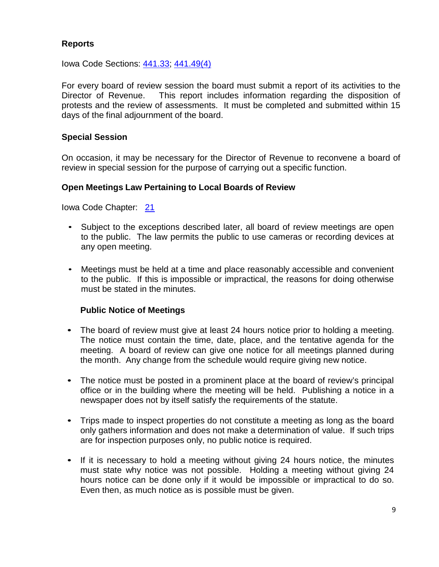# **Reports**

Iowa Code Sections: [441.33;](https://www.legis.iowa.gov/docs/ico/code/441.33.pdf) [441.49\(4\)](https://www.legis.iowa.gov/docs/ico/code/441.49.pdf)

For every board of review session the board must submit a report of its activities to the Director of Revenue. This report includes information regarding the disposition of protests and the review of assessments. It must be completed and submitted within 15 days of the final adjournment of the board.

# **Special Session**

On occasion, it may be necessary for the Director of Revenue to reconvene a board of review in special session for the purpose of carrying out a specific function.

# **Open Meetings Law Pertaining to Local Boards of Review**

Iowa Code Chapter: [21](https://www.legis.iowa.gov/docs/ico/code/21.pdf)

- Subject to the exceptions described later, all board of review meetings are open to the public. The law permits the public to use cameras or recording devices at any open meeting.
- Meetings must be held at a time and place reasonably accessible and convenient to the public. If this is impossible or impractical, the reasons for doing otherwise must be stated in the minutes.

# **Public Notice of Meetings**

- The board of review must give at least 24 hours notice prior to holding a meeting. The notice must contain the time, date, place, and the tentative agenda for the meeting. A board of review can give one notice for all meetings planned during the month. Any change from the schedule would require giving new notice.
- The notice must be posted in a prominent place at the board of review's principal office or in the building where the meeting will be held. Publishing a notice in a newspaper does not by itself satisfy the requirements of the statute.
- Trips made to inspect properties do not constitute a meeting as long as the board only gathers information and does not make a determination of value. If such trips are for inspection purposes only, no public notice is required.
- If it is necessary to hold a meeting without giving 24 hours notice, the minutes must state why notice was not possible. Holding a meeting without giving 24 hours notice can be done only if it would be impossible or impractical to do so. Even then, as much notice as is possible must be given.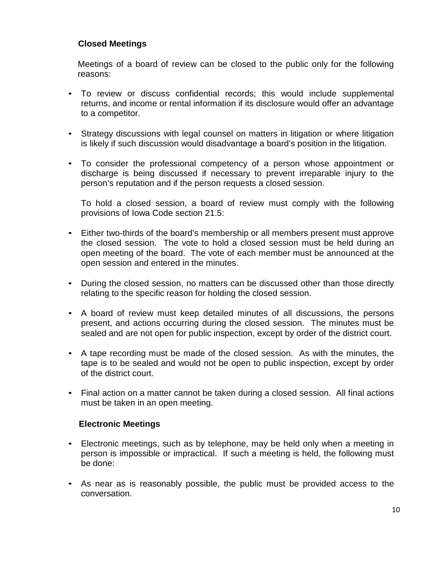# **Closed Meetings**

Meetings of a board of review can be closed to the public only for the following reasons:

- To review or discuss confidential records; this would include supplemental returns, and income or rental information if its disclosure would offer an advantage to a competitor.
- Strategy discussions with legal counsel on matters in litigation or where litigation is likely if such discussion would disadvantage a board's position in the litigation.
- To consider the professional competency of a person whose appointment or discharge is being discussed if necessary to prevent irreparable injury to the person's reputation and if the person requests a closed session.

To hold a closed session, a board of review must comply with the following provisions of Iowa Code section 21.5:

- Either two-thirds of the board's membership or all members present must approve the closed session. The vote to hold a closed session must be held during an open meeting of the board. The vote of each member must be announced at the open session and entered in the minutes.
- During the closed session, no matters can be discussed other than those directly relating to the specific reason for holding the closed session.
- A board of review must keep detailed minutes of all discussions, the persons present, and actions occurring during the closed session. The minutes must be sealed and are not open for public inspection, except by order of the district court.
- A tape recording must be made of the closed session. As with the minutes, the tape is to be sealed and would not be open to public inspection, except by order of the district court.
- Final action on a matter cannot be taken during a closed session. All final actions must be taken in an open meeting.

# **Electronic Meetings**

- Electronic meetings, such as by telephone, may be held only when a meeting in person is impossible or impractical. If such a meeting is held, the following must be done:
- As near as is reasonably possible, the public must be provided access to the conversation.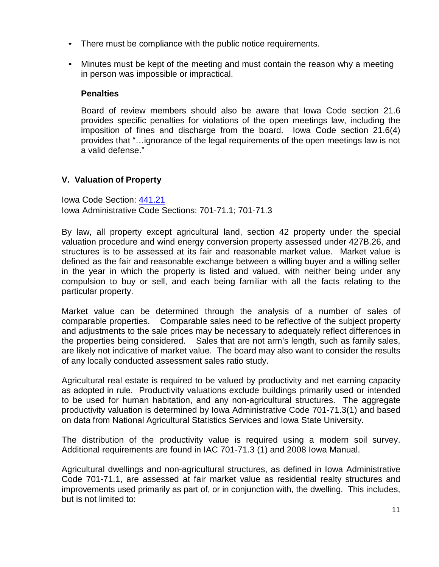- There must be compliance with the public notice requirements.
- Minutes must be kept of the meeting and must contain the reason why a meeting in person was impossible or impractical.

# **Penalties**

Board of review members should also be aware that Iowa Code section 21.6 provides specific penalties for violations of the open meetings law, including the imposition of fines and discharge from the board. Iowa Code section 21.6(4) provides that "…ignorance of the legal requirements of the open meetings law is not a valid defense."

# **V. Valuation of Property**

Iowa Code Section: [441.21](https://www.legis.iowa.gov/docs/ico/code/441.21.pdf) Iowa Administrative Code Sections: 701-71.1; 701-71.3

By law, all property except agricultural land, section 42 property under the special valuation procedure and wind energy conversion property assessed under 427B.26, and structures is to be assessed at its fair and reasonable market value. Market value is defined as the fair and reasonable exchange between a willing buyer and a willing seller in the year in which the property is listed and valued, with neither being under any compulsion to buy or sell, and each being familiar with all the facts relating to the particular property.

Market value can be determined through the analysis of a number of sales of comparable properties. Comparable sales need to be reflective of the subject property and adjustments to the sale prices may be necessary to adequately reflect differences in the properties being considered. Sales that are not arm's length, such as family sales, are likely not indicative of market value. The board may also want to consider the results of any locally conducted assessment sales ratio study.

Agricultural real estate is required to be valued by productivity and net earning capacity as adopted in rule. Productivity valuations exclude buildings primarily used or intended to be used for human habitation, and any non-agricultural structures. The aggregate productivity valuation is determined by Iowa Administrative Code 701-71.3(1) and based on data from National Agricultural Statistics Services and Iowa State University.

The distribution of the productivity value is required using a modern soil survey. Additional requirements are found in IAC 701-71.3 (1) and 2008 Iowa Manual.

Agricultural dwellings and non-agricultural structures, as defined in Iowa Administrative Code 701-71.1, are assessed at fair market value as residential realty structures and improvements used primarily as part of, or in conjunction with, the dwelling. This includes, but is not limited to: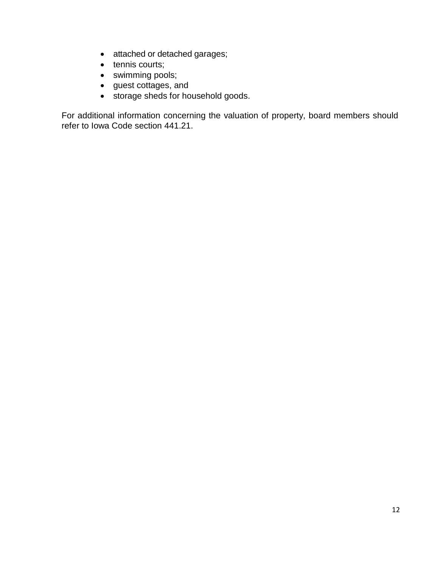- attached or detached garages;
- tennis courts;
- swimming pools;
- guest cottages, and
- storage sheds for household goods.

For additional information concerning the valuation of property, board members should refer to Iowa Code section 441.21.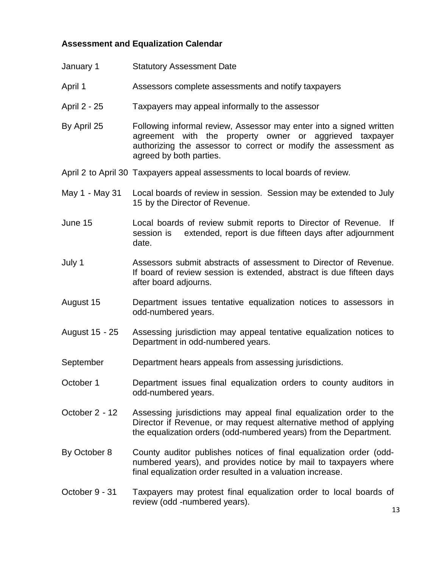# **Assessment and Equalization Calendar**

- January 1 Statutory Assessment Date
- April 1 **Assessors complete assessments and notify taxpayers**
- April 2 25 Taxpayers may appeal informally to the assessor
- By April 25 Following informal review, Assessor may enter into a signed written agreement with the property owner or aggrieved taxpayer authorizing the assessor to correct or modify the assessment as agreed by both parties.
- April 2 to April 30 Taxpayers appeal assessments to local boards of review.
- May 1 May 31 Local boards of review in session. Session may be extended to July 15 by the Director of Revenue.
- June 15 Local boards of review submit reports to Director of Revenue. If session is extended, report is due fifteen days after adjournment date.
- July 1 Assessors submit abstracts of assessment to Director of Revenue. If board of review session is extended, abstract is due fifteen days after board adjourns.
- August 15 Department issues tentative equalization notices to assessors in odd-numbered years.
- August 15 25 Assessing jurisdiction may appeal tentative equalization notices to Department in odd-numbered years.
- September Department hears appeals from assessing jurisdictions.
- October 1 Department issues final equalization orders to county auditors in odd-numbered years.
- October 2 12 Assessing jurisdictions may appeal final equalization order to the Director if Revenue, or may request alternative method of applying the equalization orders (odd-numbered years) from the Department.
- By October 8 County auditor publishes notices of final equalization order (oddnumbered years), and provides notice by mail to taxpayers where final equalization order resulted in a valuation increase.

#### October 9 - 31 Taxpayers may protest final equalization order to local boards of review (odd -numbered years).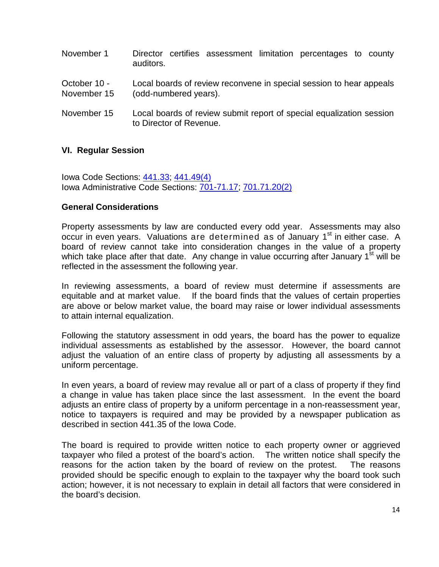- November 1 Director certifies assessment limitation percentages to county auditors.
- October 10 Local boards of review reconvene in special session to hear appeals November 15 (odd-numbered years).
- November 15 Local boards of review submit report of special equalization session to Director of Revenue.

# **VI. Regular Session**

Iowa Code Sections: [441.33;](https://www.legis.iowa.gov/docs/ico/code/441.33.pdf) [441.49\(4\)](https://www.legis.iowa.gov/docs/ico/code/441.49.pdf) Iowa Administrative Code Sections: 701-71.17; [701.71.20\(2\)](https://www.legis.iowa.gov/docs/aco/rule/701.71.20.pdf)

# **General Considerations**

Property assessments by law are conducted every odd year. Assessments may also occur in even years. Valuations are determined as of January  $1<sup>st</sup>$  in either case. A board of review cannot take into consideration changes in the value of a property which take place after that date. Any change in value occurring after January  $1<sup>st</sup>$  will be reflected in the assessment the following year.

In reviewing assessments, a board of review must determine if assessments are equitable and at market value. If the board finds that the values of certain properties are above or below market value, the board may raise or lower individual assessments to attain internal equalization.

Following the statutory assessment in odd years, the board has the power to equalize individual assessments as established by the assessor. However, the board cannot adjust the valuation of an entire class of property by adjusting all assessments by a uniform percentage.

In even years, a board of review may revalue all or part of a class of property if they find a change in value has taken place since the last assessment. In the event the board adjusts an entire class of property by a uniform percentage in a non-reassessment year, notice to taxpayers is required and may be provided by a newspaper publication as described in section 441.35 of the Iowa Code.

The board is required to provide written notice to each property owner or aggrieved taxpayer who filed a protest of the board's action. The written notice shall specify the reasons for the action taken by the board of review on the protest. The reasons provided should be specific enough to explain to the taxpayer why the board took such action; however, it is not necessary to explain in detail all factors that were considered in the board's decision.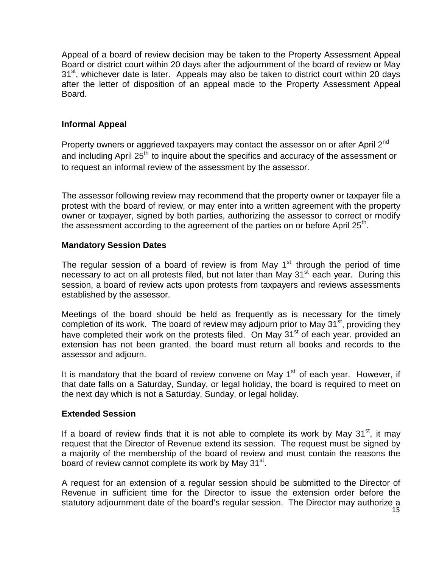Appeal of a board of review decision may be taken to the Property Assessment Appeal Board or district court within 20 days after the adjournment of the board of review or May  $31<sup>st</sup>$ , whichever date is later. Appeals may also be taken to district court within 20 days after the letter of disposition of an appeal made to the Property Assessment Appeal Board.

# **Informal Appeal**

Property owners or aggrieved taxpayers may contact the assessor on or after April 2<sup>nd</sup> and including April 25<sup>th</sup> to inquire about the specifics and accuracy of the assessment or to request an informal review of the assessment by the assessor.

The assessor following review may recommend that the property owner or taxpayer file a protest with the board of review, or may enter into a written agreement with the property owner or taxpayer, signed by both parties, authorizing the assessor to correct or modify the assessment according to the agreement of the parties on or before April  $25<sup>th</sup>$ .

# **Mandatory Session Dates**

The regular session of a board of review is from May  $1<sup>st</sup>$  through the period of time necessary to act on all protests filed, but not later than May  $31<sup>st</sup>$  each year. During this session, a board of review acts upon protests from taxpayers and reviews assessments established by the assessor.

Meetings of the board should be held as frequently as is necessary for the timely completion of its work. The board of review may adjourn prior to May  $31<sup>st</sup>$ , providing they have completed their work on the protests filed. On May 31<sup>st</sup> of each year, provided an extension has not been granted, the board must return all books and records to the assessor and adjourn.

It is mandatory that the board of review convene on May  $1<sup>st</sup>$  of each year. However, if that date falls on a Saturday, Sunday, or legal holiday, the board is required to meet on the next day which is not a Saturday, Sunday, or legal holiday.

# **Extended Session**

If a board of review finds that it is not able to complete its work by May  $31<sup>st</sup>$ , it may request that the Director of Revenue extend its session. The request must be signed by a majority of the membership of the board of review and must contain the reasons the board of review cannot complete its work by May  $31<sup>st</sup>$ .

A request for an extension of a regular session should be submitted to the Director of Revenue in sufficient time for the Director to issue the extension order before the statutory adjournment date of the board's regular session. The Director may authorize a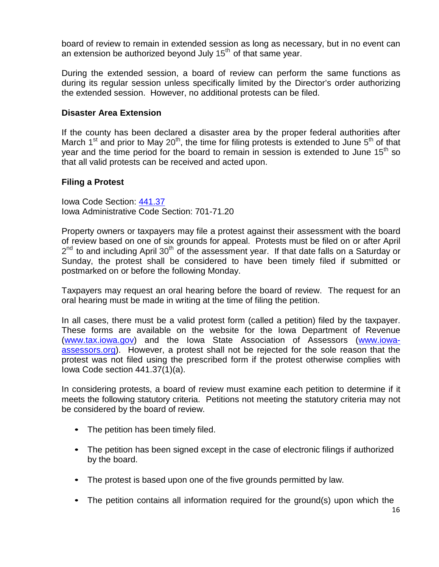board of review to remain in extended session as long as necessary, but in no event can an extension be authorized beyond July  $15<sup>th</sup>$  of that same year.

During the extended session, a board of review can perform the same functions as during its regular session unless specifically limited by the Director's order authorizing the extended session. However, no additional protests can be filed.

#### **Disaster Area Extension**

If the county has been declared a disaster area by the proper federal authorities after March 1<sup>st</sup> and prior to May 20<sup>th</sup>, the time for filing protests is extended to June  $5<sup>th</sup>$  of that year and the time period for the board to remain in session is extended to June  $15<sup>th</sup>$  so that all valid protests can be received and acted upon.

#### **Filing a Protest**

Iowa Code Section: [441.37](https://www.legis.iowa.gov/docs/ico/code/441.37.pdf) Iowa Administrative Code Section: 701-71.20

Property owners or taxpayers may file a protest against their assessment with the board of review based on one of six grounds for appeal. Protests must be filed on or after April  $2<sup>nd</sup>$  to and including April 30<sup>th</sup> of the assessment year. If that date falls on a Saturday or Sunday, the protest shall be considered to have been timely filed if submitted or postmarked on or before the following Monday.

Taxpayers may request an oral hearing before the board of review. The request for an oral hearing must be made in writing at the time of filing the petition.

In all cases, there must be a valid protest form (called a petition) filed by the taxpayer. These forms are available on the website for the Iowa Department of Revenue [\(www.tax.iowa.gov\)](http://www.tax.iowa.gov/) and the Iowa State Association of Assessors [\(www.iowa](http://www.iowa-assessors.org/)[assessors.org\)](http://www.iowa-assessors.org/). However, a protest shall not be rejected for the sole reason that the protest was not filed using the prescribed form if the protest otherwise complies with Iowa Code section 441.37(1)(a).

In considering protests, a board of review must examine each petition to determine if it meets the following statutory criteria. Petitions not meeting the statutory criteria may not be considered by the board of review.

- The petition has been timely filed.
- The petition has been signed except in the case of electronic filings if authorized by the board.
- The protest is based upon one of the five grounds permitted by law.
- The petition contains all information required for the ground(s) upon which the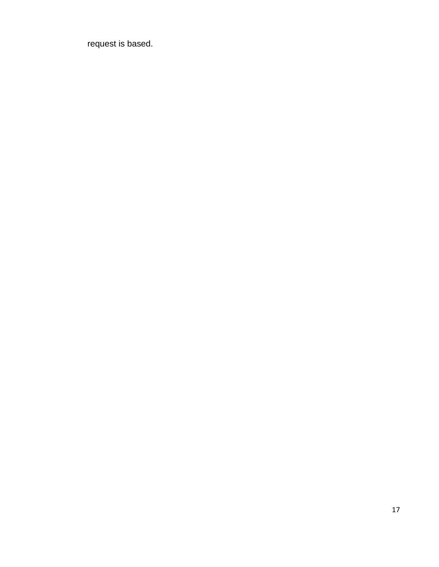request is based.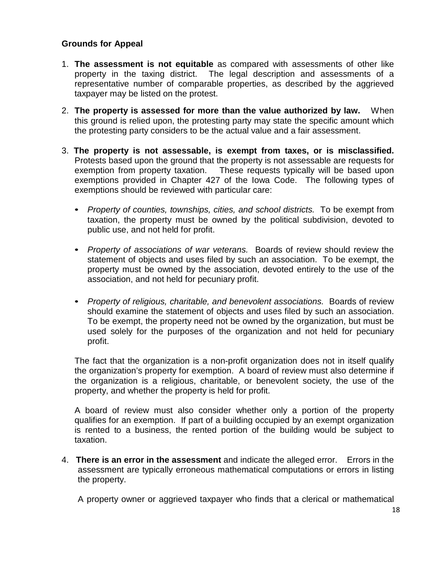# **Grounds for Appeal**

- 1. **The assessment is not equitable** as compared with assessments of other like property in the taxing district. The legal description and assessments of a representative number of comparable properties, as described by the aggrieved taxpayer may be listed on the protest.
- 2. **The property is assessed for more than the value authorized by law.** When this ground is relied upon, the protesting party may state the specific amount which the protesting party considers to be the actual value and a fair assessment.
- 3. **The property is not assessable, is exempt from taxes, or is misclassified.**  Protests based upon the ground that the property is not assessable are requests for exemption from property taxation. These requests typically will be based upon exemptions provided in Chapter 427 of the Iowa Code. The following types of exemptions should be reviewed with particular care:
	- *Property of counties, townships, cities, and school districts.* To be exempt from taxation, the property must be owned by the political subdivision, devoted to public use, and not held for profit.
	- *Property of associations of war veterans.* Boards of review should review the statement of objects and uses filed by such an association. To be exempt, the property must be owned by the association, devoted entirely to the use of the association, and not held for pecuniary profit.
	- *Property of religious, charitable, and benevolent associations.* Boards of review should examine the statement of objects and uses filed by such an association. To be exempt, the property need not be owned by the organization, but must be used solely for the purposes of the organization and not held for pecuniary profit.

The fact that the organization is a non-profit organization does not in itself qualify the organization's property for exemption. A board of review must also determine if the organization is a religious, charitable, or benevolent society, the use of the property, and whether the property is held for profit.

A board of review must also consider whether only a portion of the property qualifies for an exemption. If part of a building occupied by an exempt organization is rented to a business, the rented portion of the building would be subject to taxation.

4. **There is an error in the assessment** and indicate the alleged error. Errors in the assessment are typically erroneous mathematical computations or errors in listing the property.

A property owner or aggrieved taxpayer who finds that a clerical or mathematical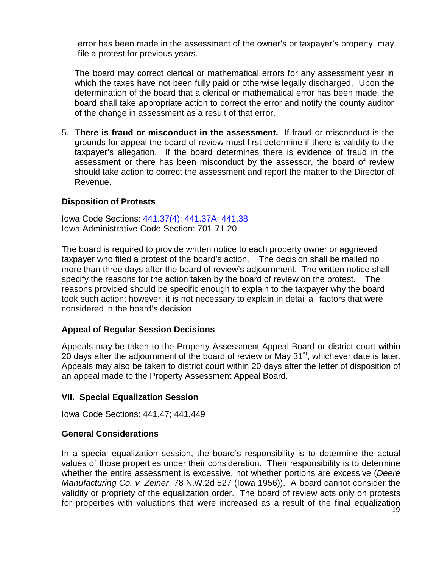error has been made in the assessment of the owner's or taxpayer's property, may file a protest for previous years.

The board may correct clerical or mathematical errors for any assessment year in which the taxes have not been fully paid or otherwise legally discharged. Upon the determination of the board that a clerical or mathematical error has been made, the board shall take appropriate action to correct the error and notify the county auditor of the change in assessment as a result of that error.

5. **There is fraud or misconduct in the assessment.** If fraud or misconduct is the grounds for appeal the board of review must first determine if there is validity to the taxpayer's allegation. If the board determines there is evidence of fraud in the assessment or there has been misconduct by the assessor, the board of review should take action to correct the assessment and report the matter to the Director of Revenue.

# **Disposition of Protests**

Iowa Code Sections: [441.37\(4\);](https://www.legis.iowa.gov/docs/ico/code/441.37.pdf) [441.37A;](https://www.legis.iowa.gov/docs/ico/code/441.37A.pdf) [441.38](https://www.legis.iowa.gov/docs/ico/code/441.38.pdf) Iowa Administrative Code Section: 701-71.20

The board is required to provide written notice to each property owner or aggrieved taxpayer who filed a protest of the board's action. The decision shall be mailed no more than three days after the board of review's adjournment. The written notice shall specify the reasons for the action taken by the board of review on the protest. The reasons provided should be specific enough to explain to the taxpayer why the board took such action; however, it is not necessary to explain in detail all factors that were considered in the board's decision.

#### **Appeal of Regular Session Decisions**

Appeals may be taken to the Property Assessment Appeal Board or district court within 20 days after the adjournment of the board of review or May  $31<sup>st</sup>$ , whichever date is later. Appeals may also be taken to district court within 20 days after the letter of disposition of an appeal made to the Property Assessment Appeal Board.

#### **VII. Special Equalization Session**

Iowa Code Sections: 441.47; 441.449

#### **General Considerations**

In a special equalization session, the board's responsibility is to determine the actual values of those properties under their consideration. Their responsibility is to determine whether the entire assessment is excessive, not whether portions are excessive (*Deere Manufacturing Co. v. Zeiner*, 78 N.W.2d 527 (Iowa 1956)). A board cannot consider the validity or propriety of the equalization order. The board of review acts only on protests for properties with valuations that were increased as a result of the final equalization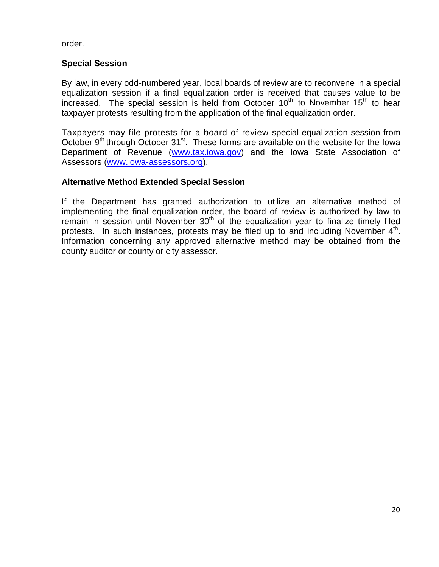order.

# **Special Session**

By law, in every odd-numbered year, local boards of review are to reconvene in a special equalization session if a final equalization order is received that causes value to be increased. The special session is held from October  $10<sup>th</sup>$  to November  $15<sup>th</sup>$  to hear taxpayer protests resulting from the application of the final equalization order.

Taxpayers may file protests for a board of review special equalization session from October 9<sup>th</sup> through October 31<sup>st</sup>. These forms are available on the website for the Iowa Department of Revenue [\(www.tax.iowa.gov\)](http://www.tax.iowa.gov/) and the Iowa State Association of Assessors [\(www.iowa-assessors.org\)](http://www.iowa-assessors.org/).

# **Alternative Method Extended Special Session**

If the Department has granted authorization to utilize an alternative method of implementing the final equalization order, the board of review is authorized by law to remain in session until November  $30<sup>th</sup>$  of the equalization year to finalize timely filed protests. In such instances, protests may be filed up to and including November  $4<sup>th</sup>$ . Information concerning any approved alternative method may be obtained from the county auditor or county or city assessor.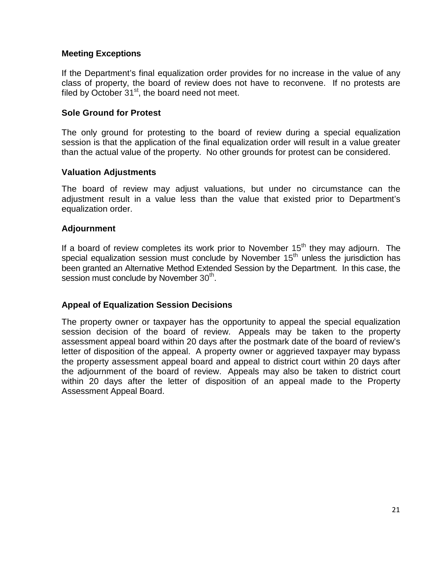# **Meeting Exceptions**

If the Department's final equalization order provides for no increase in the value of any class of property, the board of review does not have to reconvene. If no protests are filed by October  $31<sup>st</sup>$ , the board need not meet.

# **Sole Ground for Protest**

The only ground for protesting to the board of review during a special equalization session is that the application of the final equalization order will result in a value greater than the actual value of the property. No other grounds for protest can be considered.

# **Valuation Adjustments**

The board of review may adjust valuations, but under no circumstance can the adjustment result in a value less than the value that existed prior to Department's equalization order.

# **Adjournment**

If a board of review completes its work prior to November  $15<sup>th</sup>$  they may adjourn. The special equalization session must conclude by November  $15<sup>th</sup>$  unless the jurisdiction has been granted an Alternative Method Extended Session by the Department. In this case, the session must conclude by November 30<sup>th</sup>.

# **Appeal of Equalization Session Decisions**

The property owner or taxpayer has the opportunity to appeal the special equalization session decision of the board of review. Appeals may be taken to the property assessment appeal board within 20 days after the postmark date of the board of review's letter of disposition of the appeal. A property owner or aggrieved taxpayer may bypass the property assessment appeal board and appeal to district court within 20 days after the adjournment of the board of review. Appeals may also be taken to district court within 20 days after the letter of disposition of an appeal made to the Property Assessment Appeal Board.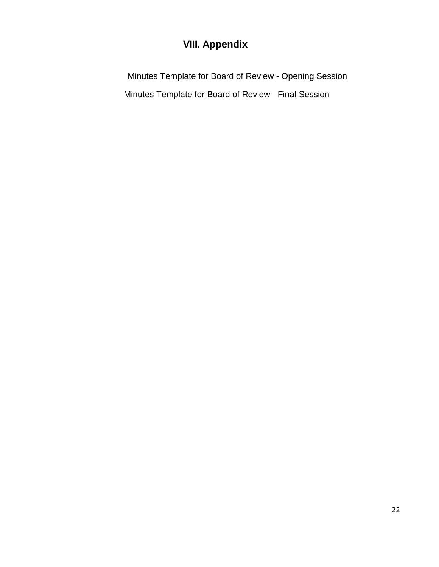# **VIII. Appendix**

 Minutes Template for Board of Review - Opening Session Minutes Template for Board of Review - Final Session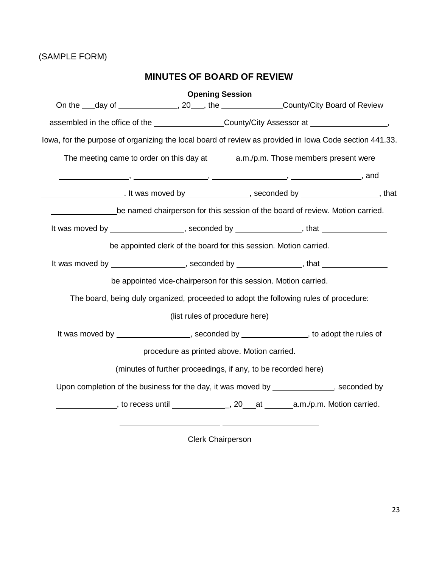# (SAMPLE FORM)

# **MINUTES OF BOARD OF REVIEW**

| <b>Opening Session</b>                                                                                 |  |  |
|--------------------------------------------------------------------------------------------------------|--|--|
| On the ___day of _______________, 20___, the ________________County/City Board of Review               |  |  |
| assembled in the office of the ____________________County/City Assessor at ________________________,   |  |  |
| lowa, for the purpose of organizing the local board of review as provided in lowa Code section 441.33. |  |  |
| The meeting came to order on this day at $\_\_\_\_\a.m./p.m.$ Those members present were               |  |  |
|                                                                                                        |  |  |
|                                                                                                        |  |  |
| be named chairperson for this session of the board of review. Motion carried.                          |  |  |
| It was moved by __________________, seconded by ______________, that ___________                       |  |  |
| be appointed clerk of the board for this session. Motion carried.                                      |  |  |
| It was moved by __________________, seconded by ______________, that ___________                       |  |  |
| be appointed vice-chairperson for this session. Motion carried.                                        |  |  |
| The board, being duly organized, proceeded to adopt the following rules of procedure:                  |  |  |
| (list rules of procedure here)                                                                         |  |  |
| It was moved by __________________, seconded by ______________, to adopt the rules of                  |  |  |
| procedure as printed above. Motion carried.                                                            |  |  |
| (minutes of further proceedings, if any, to be recorded here)                                          |  |  |
| Upon completion of the business for the day, it was moved by ____________, seconded by                 |  |  |
|                                                                                                        |  |  |
|                                                                                                        |  |  |

Clerk Chairperson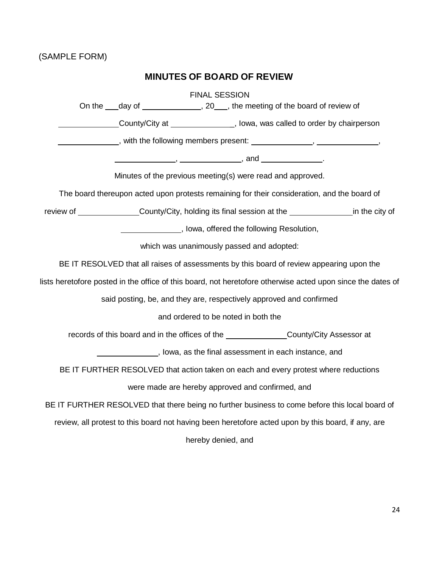# **MINUTES OF BOARD OF REVIEW**

|                                                                                                             |                                                                                          |  |  | <b>FINAL SESSION</b>                    | On the ___day of _______________, 20___, the meeting of the board of review of                                                                                                                                                |  |
|-------------------------------------------------------------------------------------------------------------|------------------------------------------------------------------------------------------|--|--|-----------------------------------------|-------------------------------------------------------------------------------------------------------------------------------------------------------------------------------------------------------------------------------|--|
|                                                                                                             |                                                                                          |  |  |                                         | County/City at County/City at County/City at County/City at County/City at County/City at County at County Association and County Association and County Association and County Association and County Association and County |  |
|                                                                                                             | _, with the following members present: _______________, ______________,                  |  |  |                                         |                                                                                                                                                                                                                               |  |
|                                                                                                             |                                                                                          |  |  |                                         |                                                                                                                                                                                                                               |  |
|                                                                                                             | Minutes of the previous meeting(s) were read and approved.                               |  |  |                                         |                                                                                                                                                                                                                               |  |
| The board thereupon acted upon protests remaining for their consideration, and the board of                 |                                                                                          |  |  |                                         |                                                                                                                                                                                                                               |  |
|                                                                                                             |                                                                                          |  |  |                                         | review of __________________County/City, holding its final session at the __________________________ in the city of                                                                                                           |  |
|                                                                                                             |                                                                                          |  |  | Lowa, offered the following Resolution, |                                                                                                                                                                                                                               |  |
|                                                                                                             | which was unanimously passed and adopted:                                                |  |  |                                         |                                                                                                                                                                                                                               |  |
|                                                                                                             | BE IT RESOLVED that all raises of assessments by this board of review appearing upon the |  |  |                                         |                                                                                                                                                                                                                               |  |
| lists heretofore posted in the office of this board, not heretofore otherwise acted upon since the dates of |                                                                                          |  |  |                                         |                                                                                                                                                                                                                               |  |
| said posting, be, and they are, respectively approved and confirmed                                         |                                                                                          |  |  |                                         |                                                                                                                                                                                                                               |  |
| and ordered to be noted in both the                                                                         |                                                                                          |  |  |                                         |                                                                                                                                                                                                                               |  |
| records of this board and in the offices of the _________________County/City Assessor at                    |                                                                                          |  |  |                                         |                                                                                                                                                                                                                               |  |
| ________________, lowa, as the final assessment in each instance, and                                       |                                                                                          |  |  |                                         |                                                                                                                                                                                                                               |  |
| BE IT FURTHER RESOLVED that action taken on each and every protest where reductions                         |                                                                                          |  |  |                                         |                                                                                                                                                                                                                               |  |
| were made are hereby approved and confirmed, and                                                            |                                                                                          |  |  |                                         |                                                                                                                                                                                                                               |  |
| BE IT FURTHER RESOLVED that there being no further business to come before this local board of              |                                                                                          |  |  |                                         |                                                                                                                                                                                                                               |  |
| review, all protest to this board not having been heretofore acted upon by this board, if any, are          |                                                                                          |  |  |                                         |                                                                                                                                                                                                                               |  |
| hereby denied, and                                                                                          |                                                                                          |  |  |                                         |                                                                                                                                                                                                                               |  |
|                                                                                                             |                                                                                          |  |  |                                         |                                                                                                                                                                                                                               |  |